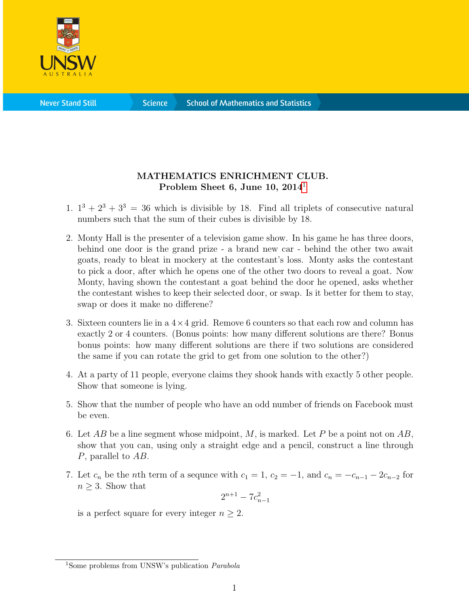

**Science** 

## MATHEMATICS ENRICHMENT CLUB. Problem Sheet 6, June [1](#page-0-0)0,  $2014<sup>1</sup>$

- 1.  $1^3 + 2^3 + 3^3 = 36$  which is divisible by 18. Find all triplets of consecutive natural numbers such that the sum of their cubes is divisible by 18.
- 2. Monty Hall is the presenter of a television game show. In his game he has three doors, behind one door is the grand prize - a brand new car - behind the other two await goats, ready to bleat in mockery at the contestant's loss. Monty asks the contestant to pick a door, after which he opens one of the other two doors to reveal a goat. Now Monty, having shown the contestant a goat behind the door he opened, asks whether the contestant wishes to keep their selected door, or swap. Is it better for them to stay, swap or does it make no differene?
- 3. Sixteen counters lie in a  $4\times 4$  grid. Remove 6 counters so that each row and column has exactly 2 or 4 counters. (Bonus points: how many different solutions are there? Bonus bonus points: how many different solutions are there if two solutions are considered the same if you can rotate the grid to get from one solution to the other?)
- 4. At a party of 11 people, everyone claims they shook hands with exactly 5 other people. Show that someone is lying.
- 5. Show that the number of people who have an odd number of friends on Facebook must be even.
- 6. Let AB be a line segment whose midpoint, M, is marked. Let P be a point not on  $AB$ , show that you can, using only a straight edge and a pencil, construct a line through P, parallel to AB.
- 7. Let  $c_n$  be the *n*th term of a sequnce with  $c_1 = 1$ ,  $c_2 = -1$ , and  $c_n = -c_{n-1} 2c_{n-2}$  for  $n \geq 3$ . Show that

$$
2^{n+1} - 7c_{n-1}^2
$$

is a perfect square for every integer  $n \geq 2$ .

<span id="page-0-0"></span><sup>&</sup>lt;sup>1</sup>Some problems from UNSW's publication *Parabola*